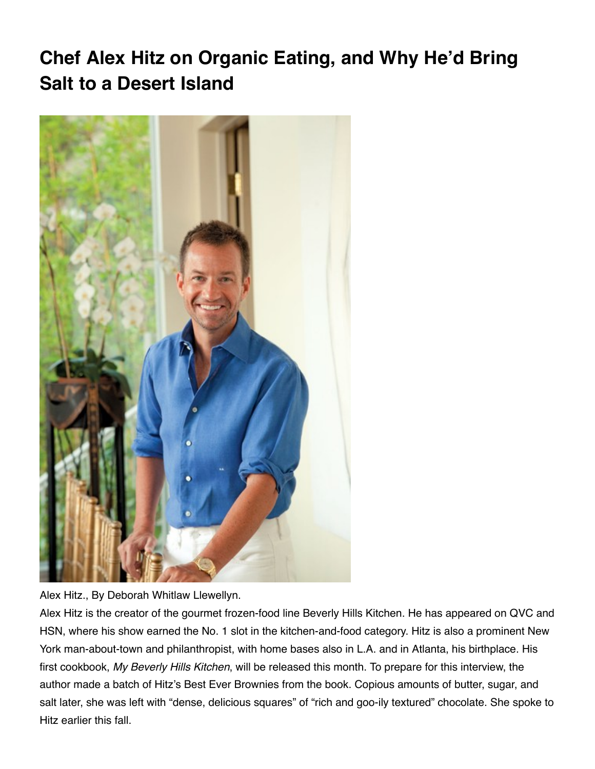# **Chef Alex Hitz on Organic Eating, and Why He'd Bring Salt to a Desert Island**



Alex Hitz., By Deborah Whitlaw Llewellyn.

Alex Hitz is the creator of the gourmet frozen-food line Beverly Hills Kitchen. He has appeared on QVC and HSN, where his show earned the No. 1 slot in the kitchen-and-food category. Hitz is also a prominent New York man-about-town and philanthropist, with home bases also in L.A. and in Atlanta, his birthplace. His first cookbook, My Beverly Hills Kitchen, will be released this month. To prepare for this interview, the author made a batch of Hitz's Best Ever Brownies from the book. Copious amounts of butter, sugar, and salt later, she was left with "dense, delicious squares" of "rich and goo-ily textured" chocolate. She spoke to Hitz earlier this fall.